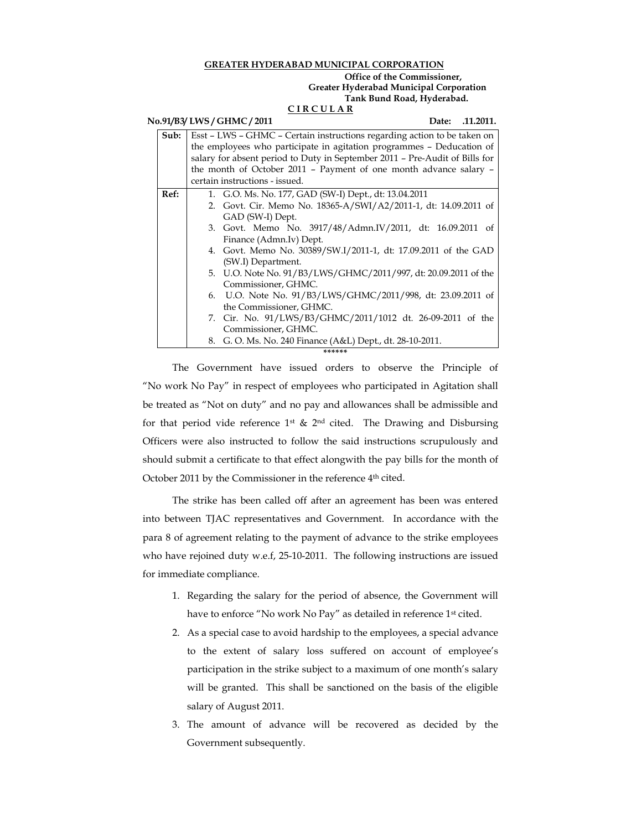## **GREATER HYDERABAD MUNICIPAL CORPORATION**

## **Office of the Commissioner, Greater Hyderabad Municipal Corporation Tank Bund Road, Hyderabad.**

# **C I R C U L A R**

#### **No.91/B3/ LWS / GHMC / 2011** Date: .11.2011.

| Sub: | Esst – LWS – GHMC – Certain instructions regarding action to be taken on<br>the employees who participate in agitation programmes - Deducation of |
|------|---------------------------------------------------------------------------------------------------------------------------------------------------|
|      | salary for absent period to Duty in September 2011 - Pre-Audit of Bills for                                                                       |
|      | the month of October 2011 - Payment of one month advance salary -                                                                                 |
|      | certain instructions - issued.                                                                                                                    |
| Ref: | 1. G.O. Ms. No. 177, GAD (SW-I) Dept., dt: 13.04.2011                                                                                             |
|      | 2. Govt. Cir. Memo No. 18365-A/SWI/A2/2011-1, dt: 14.09.2011 of                                                                                   |
|      | GAD (SW-I) Dept.                                                                                                                                  |
|      | 3. Govt. Memo No. 3917/48/Admn.IV/2011, dt: 16.09.2011 of                                                                                         |
|      | Finance (Admn.Iv) Dept.                                                                                                                           |
|      | 4. Govt. Memo No. 30389/SW.I/2011-1, dt: 17.09.2011 of the GAD                                                                                    |
|      | (SW.I) Department.                                                                                                                                |
|      | 5. U.O. Note No. 91/B3/LWS/GHMC/2011/997, dt: 20.09.2011 of the                                                                                   |
|      | Commissioner, GHMC.                                                                                                                               |
|      | 6. U.O. Note No. 91/B3/LWS/GHMC/2011/998, dt: 23.09.2011 of                                                                                       |
|      | the Commissioner, GHMC.                                                                                                                           |
|      | 7. Cir. No. 91/LWS/B3/GHMC/2011/1012 dt. 26-09-2011 of the                                                                                        |
|      | Commissioner, GHMC.                                                                                                                               |
|      | 8. G. O. Ms. No. 240 Finance (A&L) Dept., dt. 28-10-2011.                                                                                         |
|      | ******                                                                                                                                            |
|      |                                                                                                                                                   |

The Government have issued orders to observe the Principle of "No work No Pay" in respect of employees who participated in Agitation shall be treated as "Not on duty" and no pay and allowances shall be admissible and for that period vide reference  $1^{st}$  &  $2^{nd}$  cited. The Drawing and Disbursing Officers were also instructed to follow the said instructions scrupulously and should submit a certificate to that effect alongwith the pay bills for the month of October 2011 by the Commissioner in the reference 4<sup>th</sup> cited.

The strike has been called off after an agreement has been was entered into between TJAC representatives and Government. In accordance with the para 8 of agreement relating to the payment of advance to the strike employees who have rejoined duty w.e.f, 25-10-2011. The following instructions are issued for immediate compliance.

- 1. Regarding the salary for the period of absence, the Government will have to enforce "No work No Pay" as detailed in reference 1st cited.
- 2. As a special case to avoid hardship to the employees, a special advance to the extent of salary loss suffered on account of employee's participation in the strike subject to a maximum of one month's salary will be granted. This shall be sanctioned on the basis of the eligible salary of August 2011.
- 3. The amount of advance will be recovered as decided by the Government subsequently.